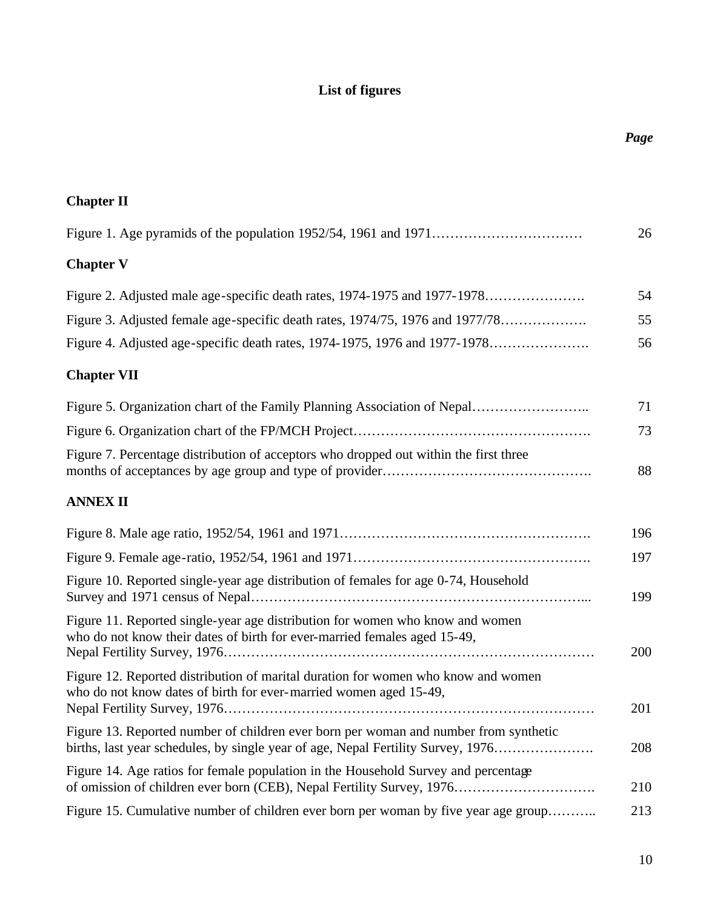## **List of figures**

| <b>Chapter II</b>                                                                                                                                                        |     |
|--------------------------------------------------------------------------------------------------------------------------------------------------------------------------|-----|
|                                                                                                                                                                          | 26  |
| <b>Chapter V</b>                                                                                                                                                         |     |
|                                                                                                                                                                          | 54  |
| Figure 3. Adjusted female age-specific death rates, 1974/75, 1976 and 1977/78                                                                                            | 55  |
| Figure 4. Adjusted age-specific death rates, 1974-1975, 1976 and 1977-1978                                                                                               | 56  |
| <b>Chapter VII</b>                                                                                                                                                       |     |
| Figure 5. Organization chart of the Family Planning Association of Nepal                                                                                                 | 71  |
|                                                                                                                                                                          | 73  |
| Figure 7. Percentage distribution of acceptors who dropped out within the first three                                                                                    | 88  |
| <b>ANNEX II</b>                                                                                                                                                          |     |
|                                                                                                                                                                          | 196 |
|                                                                                                                                                                          | 197 |
| Figure 10. Reported single-year age distribution of females for age 0-74, Household                                                                                      | 199 |
| Figure 11. Reported single-year age distribution for women who know and women<br>who do not know their dates of birth for ever-married females aged 15-49,               | 200 |
| Figure 12. Reported distribution of marital duration for women who know and women<br>who do not know dates of birth for ever-married women aged 15-49,                   | 201 |
| Figure 13. Reported number of children ever born per woman and number from synthetic<br>births, last year schedules, by single year of age, Nepal Fertility Survey, 1976 | 208 |
| Figure 14. Age ratios for female population in the Household Survey and percentage<br>of omission of children ever born (CEB), Nepal Fertility Survey, 1976              | 210 |
| Figure 15. Cumulative number of children ever born per woman by five year age group                                                                                      | 213 |